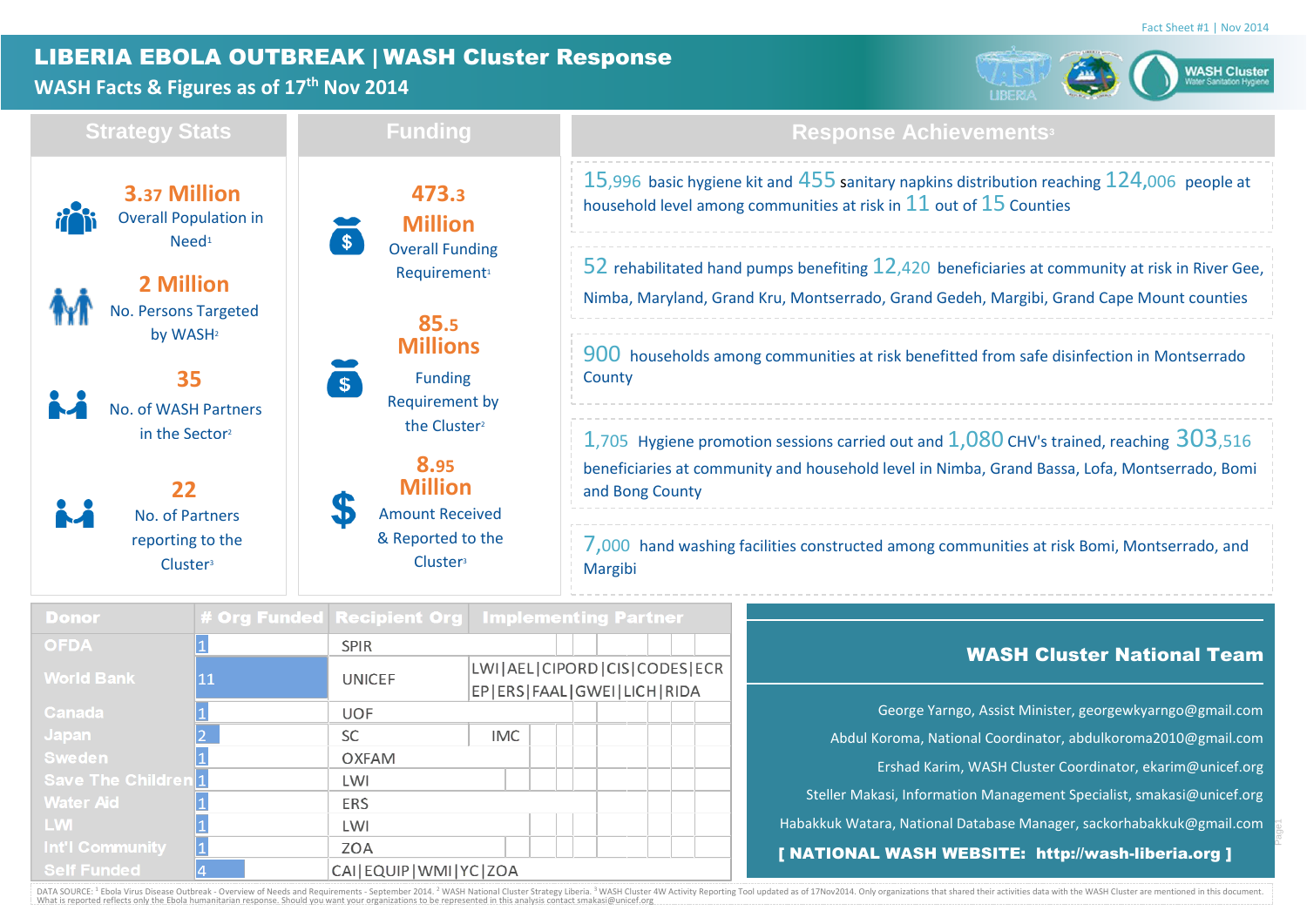Page1

# LIBERIA EBOLA OUTBREAK | WASH Cluster Response

# **WASH Facts & Figures as of 17th Nov 2014**



| <b>Strategy Stats</b> |                                                                      | <b>Funding</b>                                                | <b>Response Achievements<sup>3</sup></b>                                                                                                                                                                        |  |  |  |  |  |  |  |  |
|-----------------------|----------------------------------------------------------------------|---------------------------------------------------------------|-----------------------------------------------------------------------------------------------------------------------------------------------------------------------------------------------------------------|--|--|--|--|--|--|--|--|
|                       | 3.37 Million<br><b>Overall Population in</b><br>$N$ eed <sup>1</sup> | 473.3<br><b>Million</b><br>$\mathsf{\$}$                      | 15,996 basic hygiene kit and $455$ sanitary napkins distribution reaching $124,006$ people at<br>household level among communities at risk in $11$ out of $15$ Counties                                         |  |  |  |  |  |  |  |  |
|                       | 2 Million<br><b>No. Persons Targeted</b>                             | <b>Overall Funding</b><br>Requirement <sup>1</sup><br>85.5    | 52 rehabilitated hand pumps benefiting $12,420$ beneficiaries at community at risk in River Gee,<br>Nimba, Maryland, Grand Kru, Montserrado, Grand Gedeh, Margibi, Grand Cape Mount counties                    |  |  |  |  |  |  |  |  |
|                       | by WASH <sup>2</sup><br>35<br><b>No. of WASH Partners</b>            | <b>Millions</b><br><b>Funding</b><br>Requirement by           | 900 households among communities at risk benefitted from safe disinfection in Montserrado<br>County                                                                                                             |  |  |  |  |  |  |  |  |
|                       | in the Sector?<br>22                                                 | the Cluster <sup>2</sup><br>8.95<br><b>Million</b>            | 1,705 Hygiene promotion sessions carried out and $1,080$ CHV's trained, reaching $303$ ,516<br>beneficiaries at community and household level in Nimba, Grand Bassa, Lofa, Montserrado, Bomi<br>and Bong County |  |  |  |  |  |  |  |  |
|                       | No. of Partners<br>reporting to the<br>Cluster <sup>3</sup>          | <b>Amount Received</b><br>& Reported to the<br><b>Cluster</b> | 7,000 hand washing facilities constructed among communities at risk Bomi, Montserrado, and<br>Margibi                                                                                                           |  |  |  |  |  |  |  |  |

| <b>Donor</b>               |    |                            | # Org Funded Recipient Org Implementing Partner                      |                                                                       |
|----------------------------|----|----------------------------|----------------------------------------------------------------------|-----------------------------------------------------------------------|
| <b>OFDA</b>                |    | <b>SPIR</b>                |                                                                      | <b>WASH Cluster National Team</b>                                     |
| <b>World Bank</b>          | 11 | <b>UNICEF</b>              | LWI   AEL   CIPORD   CIS   CODES   ECR<br>EP ERS FAAL GWEI LICH RIDA |                                                                       |
| Canada                     |    | <b>UOF</b>                 |                                                                      | George Yarngo, Assist Minister, georgewkyarngo@gmail.com              |
| Japan                      |    | <b>SC</b>                  | <b>IMC</b>                                                           | Abdul Koroma, National Coordinator, abdulkoroma2010@gmail.com         |
| <b>Sweden</b>              |    | <b>OXFAM</b>               |                                                                      | Ershad Karim, WASH Cluster Coordinator, ekarim@unicef.org             |
| <b>Save The Children 1</b> |    | LWI                        |                                                                      |                                                                       |
| <b>Water Aid</b>           |    | <b>ERS</b>                 |                                                                      | Steller Makasi, Information Management Specialist, smakasi@unicef.org |
| <b>LW</b>                  |    | LWI                        |                                                                      | Habakkuk Watara, National Database Manager, sackorhabakkuk@gmail.com  |
| Int'l Community            |    | ZOA                        |                                                                      | [ NATIONAL WASH WEBSITE: http://wash-liberia.org ]                    |
| <b>Self Funded</b>         |    | CAI EQUIP   WMI   YC   ZOA |                                                                      |                                                                       |

DATA SOURCE: <sup>1</sup> Ebola Virus Disease Outbreak - Overview of Needs and Requirements - September 2014. <sup>2</sup> WASH National Cluster Strategy Liberia. <sup>3</sup> WASH Cluster 4W Activity Reporting Tool updated as of 17Nov2014. Only org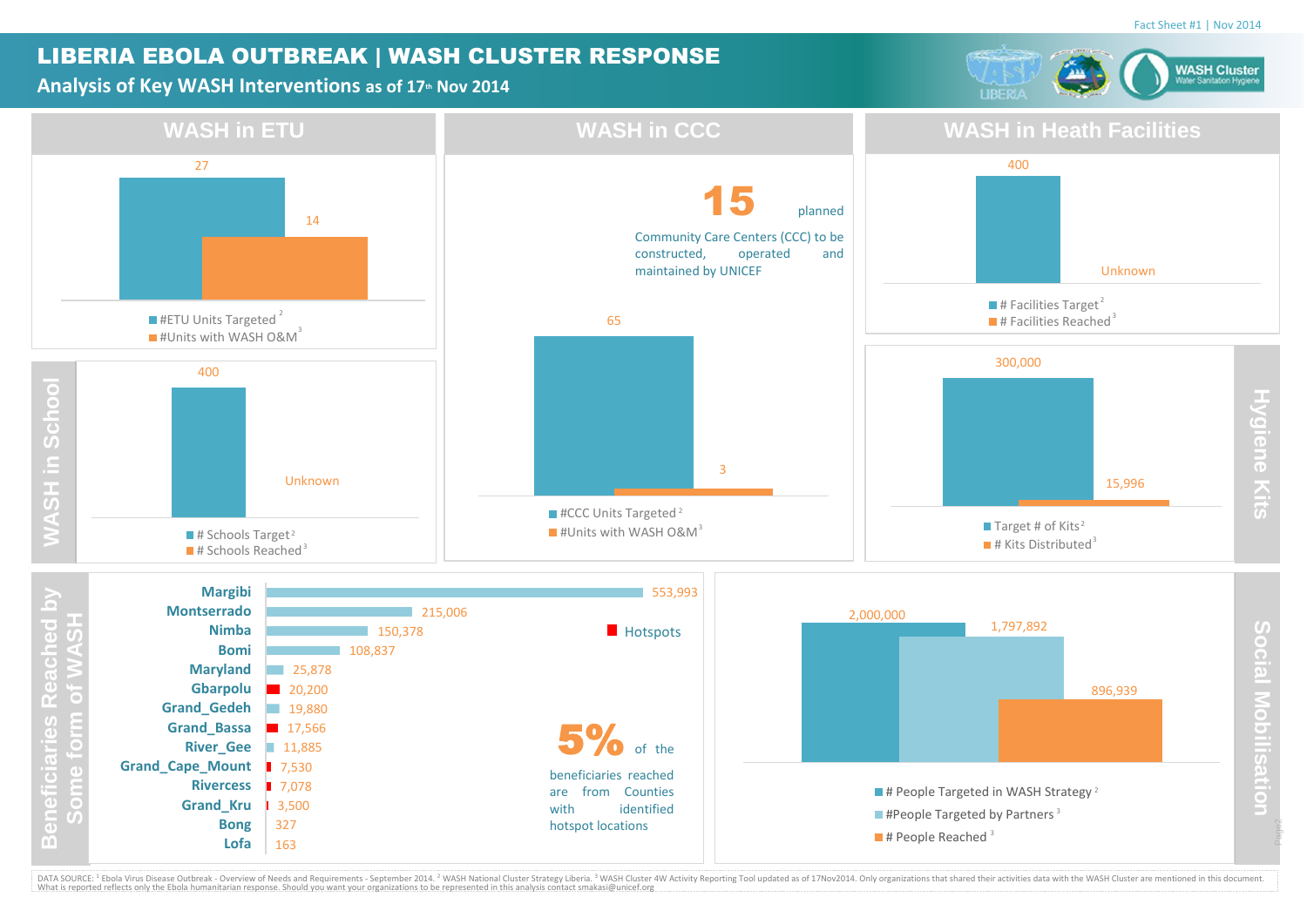### LIBERIA EBOLA OUTBREAK | WASH CLUSTER RESPONSE

#### **Analysis of Key WASH Interventions as of 17th Nov 2014**





DATA SOURCE: <sup>1</sup> Ebola Virus Disease Outbreak - Overview of Needs and Requirements - September 2014. <sup>2</sup> WASH National Cluster Strategy Liberia. <sup>3</sup> WASH Cluster 4W Activity Reporting Tool updated as of 17Nov2014. Only org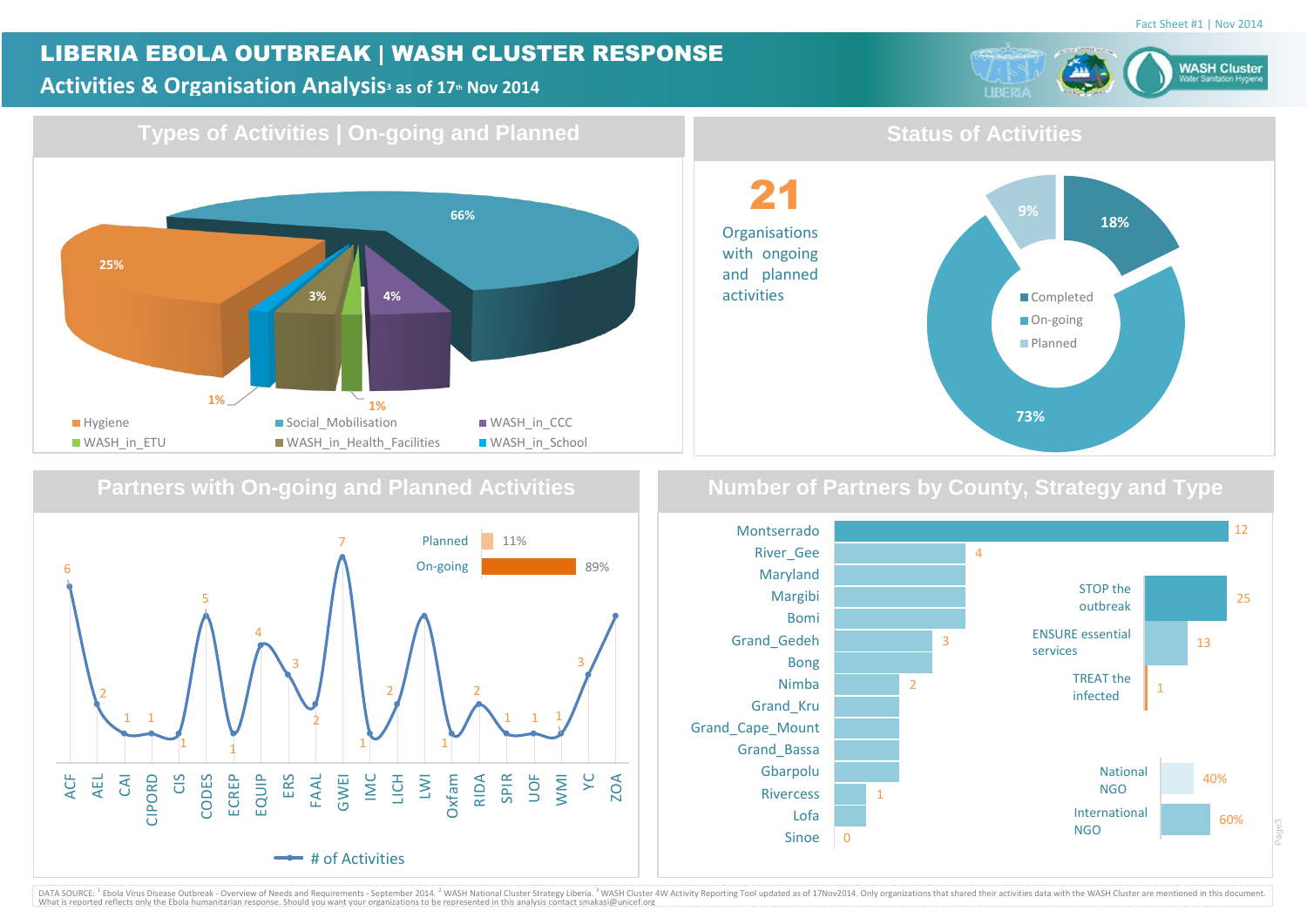## LIBERIA EBOLA OUTBREAK | WASH CLUSTER RESPONSE

#### **Activities & Organisation Analysis<sup>3</sup> as of 17th Nov 2014**



**18%**



### **Partners with On-going and Planned Activities**



**Number of Partners by County, Strategy and Type**

**73%**

**9%**

Completed On-going **Planned** 

**Status of Activities**

21

**Organisations** with ongoing and planned activities



DATA SOURCE: <sup>1</sup> Ebola Virus Disease Outbreak - Overview of Needs and Requirements - September 2014. <sup>2</sup> WASH National Cluster Strategy Liberia.<sup>3</sup> WASH Cluster 4W Activity Reporting Tool updated as of 17Nov2014. Only orga